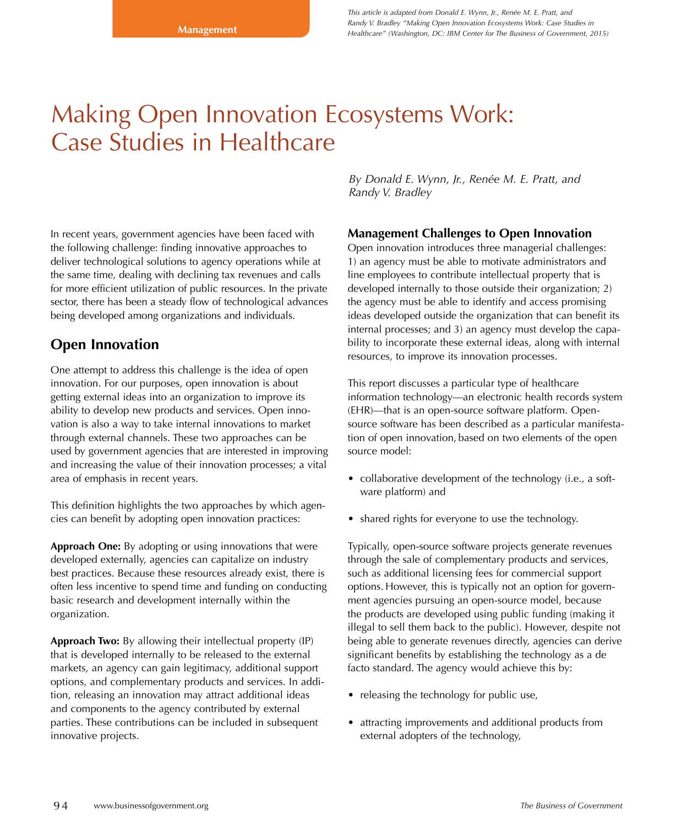# Making Open Innovation Ecosystems Work: Case Studies in Healthcare

In recent years, government agencies have been faced with the following challenge: finding innovative approaches to deliver technological solutions to agency operations while at the same time, dealing with declining tax revenues and calls for more efficient utilization of public resources. In the private sector, there has been a steady flow of technological advances being developed among organizations and individuals.

# **Open Innovation**

One attempt to address this challenge is the idea of open innovation. For our purposes, open innovation is about getting external ideas into an organization to improve its ability to develop new products and services. Open innovation is also a way to take internal innovations to market through external channels. These two approaches can be used by government agencies that are interested in improving and increasing the value of their innovation processes; a vital area of emphasis in recent years.

This definition highlights the two approaches by which agencies can benefit by adopting open innovation practices:

**Approach One:** By adopting or using innovations that were developed externally, agencies can capitalize on industry best practices. Because these resources already exist, there is often less incentive to spend time and funding on conducting basic research and development internally within the organization.

**Approach Two:** By allowing their intellectual property (IP) that is developed internally to be released to the external markets, an agency can gain legitimacy, additional support options, and complementary products and services. In addition, releasing an innovation may attract additional ideas and components to the agency contributed by external parties. These contributions can be included in subsequent innovative projects.

*By Donald E. Wynn, Jr., Renée M. E. Pratt, and Randy V. Bradley*

# **Management Challenges to Open Innovation**

Open innovation introduces three managerial challenges: 1) an agency must be able to motivate administrators and line employees to contribute intellectual property that is developed internally to those outside their organization; 2) the agency must be able to identify and access promising ideas developed outside the organization that can benefit its internal processes; and 3) an agency must develop the capability to incorporate these external ideas, along with internal resources, to improve its innovation processes.

This report discusses a particular type of healthcare information technology—an electronic health records system (EHR)—that is an open-source software platform. Opensource software has been described as a particular manifestation of open innovation, based on two elements of the open source model:

- collaborative development of the technology (i.e., a software platform) and
- shared rights for everyone to use the technology.

Typically, open-source software projects generate revenues through the sale of complementary products and services, such as additional licensing fees for commercial support options. However, this is typically not an option for government agencies pursuing an open-source model, because the products are developed using public funding (making it illegal to sell them back to the public). However, despite not being able to generate revenues directly, agencies can derive significant benefits by establishing the technology as a de facto standard. The agency would achieve this by:

- releasing the technology for public use,
- attracting improvements and additional products from external adopters of the technology,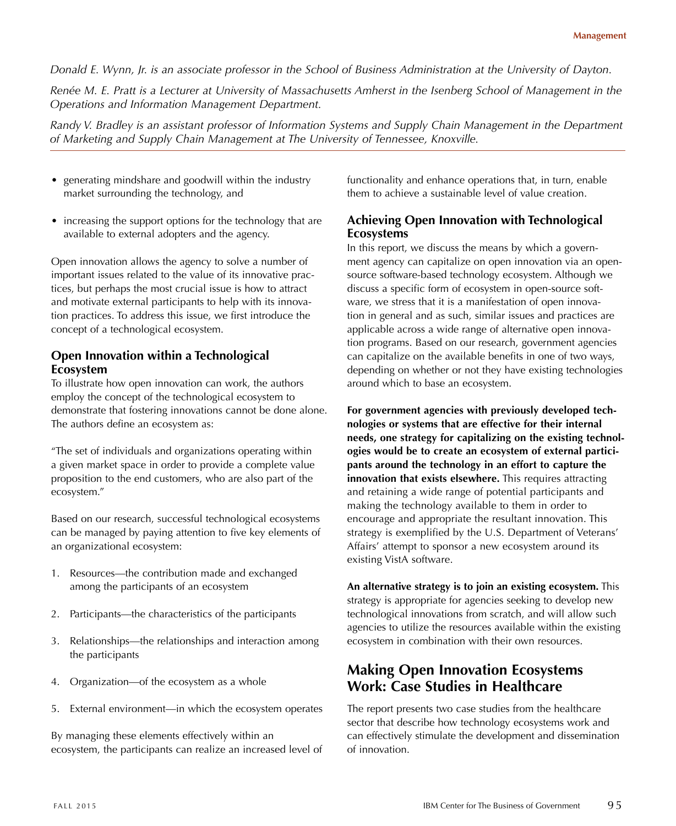*Donald E. Wynn, Jr. is an associate professor in the School of Business Administration at the University of Dayton.* 

*Renée M. E. Pratt is a Lecturer at University of Massachusetts Amherst in the Isenberg School of Management in the Operations and Information Management Department.* 

*Randy V. Bradley is an assistant professor of Information Systems and Supply Chain Management in the Department of Marketing and Supply Chain Management at The University of Tennessee, Knoxville.* 

- generating mindshare and goodwill within the industry market surrounding the technology, and
- increasing the support options for the technology that are available to external adopters and the agency.

Open innovation allows the agency to solve a number of important issues related to the value of its innovative practices, but perhaps the most crucial issue is how to attract and motivate external participants to help with its innovation practices. To address this issue, we first introduce the concept of a technological ecosystem.

# **Open Innovation within a Technological Ecosystem**

To illustrate how open innovation can work, the authors employ the concept of the technological ecosystem to demonstrate that fostering innovations cannot be done alone. The authors define an ecosystem as:

"The set of individuals and organizations operating within a given market space in order to provide a complete value proposition to the end customers, who are also part of the ecosystem."

Based on our research, successful technological ecosystems can be managed by paying attention to five key elements of an organizational ecosystem:

- 1. Resources—the contribution made and exchanged among the participants of an ecosystem
- 2. Participants—the characteristics of the participants
- 3. Relationships—the relationships and interaction among the participants
- 4. Organization—of the ecosystem as a whole
- 5. External environment—in which the ecosystem operates

By managing these elements effectively within an ecosystem, the participants can realize an increased level of functionality and enhance operations that, in turn, enable them to achieve a sustainable level of value creation.

# **Achieving Open Innovation with Technological Ecosystems**

In this report, we discuss the means by which a government agency can capitalize on open innovation via an opensource software-based technology ecosystem. Although we discuss a specific form of ecosystem in open-source software, we stress that it is a manifestation of open innovation in general and as such, similar issues and practices are applicable across a wide range of alternative open innovation programs. Based on our research, government agencies can capitalize on the available benefits in one of two ways, depending on whether or not they have existing technologies around which to base an ecosystem.

**For government agencies with previously developed technologies or systems that are effective for their internal needs, one strategy for capitalizing on the existing technologies would be to create an ecosystem of external participants around the technology in an effort to capture the innovation that exists elsewhere.** This requires attracting and retaining a wide range of potential participants and making the technology available to them in order to encourage and appropriate the resultant innovation. This strategy is exemplified by the U.S. Department of Veterans' Affairs' attempt to sponsor a new ecosystem around its existing VistA software.

**An alternative strategy is to join an existing ecosystem.** This strategy is appropriate for agencies seeking to develop new technological innovations from scratch, and will allow such agencies to utilize the resources available within the existing ecosystem in combination with their own resources.

# **Making Open Innovation Ecosystems Work: Case Studies in Healthcare**

The report presents two case studies from the healthcare sector that describe how technology ecosystems work and can effectively stimulate the development and dissemination of innovation.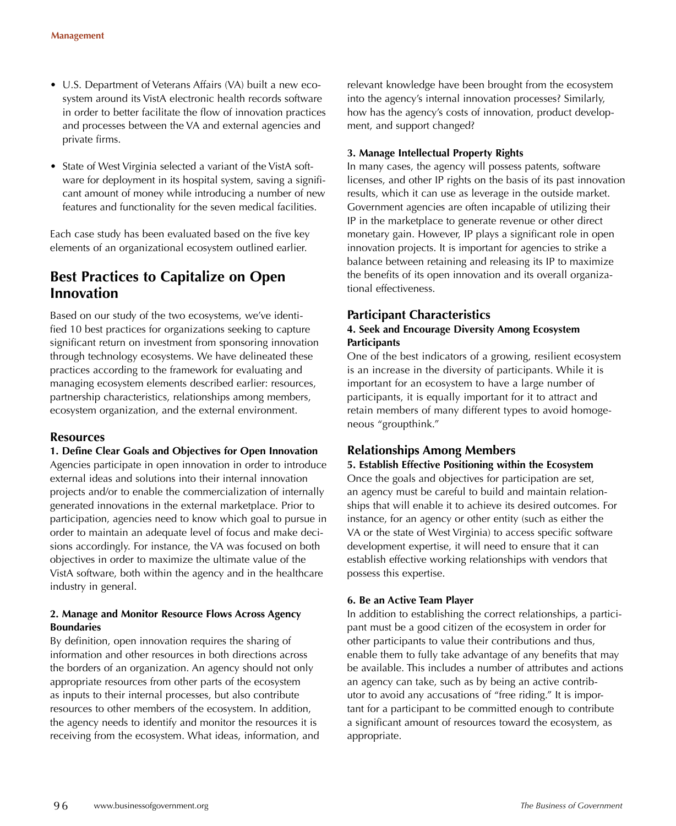- U.S. Department of Veterans Affairs (VA) built a new ecosystem around its VistA electronic health records software in order to better facilitate the flow of innovation practices and processes between the VA and external agencies and private firms.
- State of West Virginia selected a variant of the VistA software for deployment in its hospital system, saving a significant amount of money while introducing a number of new features and functionality for the seven medical facilities.

Each case study has been evaluated based on the five key elements of an organizational ecosystem outlined earlier.

# **Best Practices to Capitalize on Open Innovation**

Based on our study of the two ecosystems, we've identified 10 best practices for organizations seeking to capture significant return on investment from sponsoring innovation through technology ecosystems. We have delineated these practices according to the framework for evaluating and managing ecosystem elements described earlier: resources, partnership characteristics, relationships among members, ecosystem organization, and the external environment.

## **Resources**

### **1. Define Clear Goals and Objectives for Open Innovation**

Agencies participate in open innovation in order to introduce external ideas and solutions into their internal innovation projects and/or to enable the commercialization of internally generated innovations in the external marketplace. Prior to participation, agencies need to know which goal to pursue in order to maintain an adequate level of focus and make decisions accordingly. For instance, the VA was focused on both objectives in order to maximize the ultimate value of the VistA software, both within the agency and in the healthcare industry in general.

### **2. Manage and Monitor Resource Flows Across Agency Boundaries**

By definition, open innovation requires the sharing of information and other resources in both directions across the borders of an organization. An agency should not only appropriate resources from other parts of the ecosystem as inputs to their internal processes, but also contribute resources to other members of the ecosystem. In addition, the agency needs to identify and monitor the resources it is receiving from the ecosystem. What ideas, information, and relevant knowledge have been brought from the ecosystem into the agency's internal innovation processes? Similarly, how has the agency's costs of innovation, product development, and support changed?

#### **3. Manage Intellectual Property Rights**

In many cases, the agency will possess patents, software licenses, and other IP rights on the basis of its past innovation results, which it can use as leverage in the outside market. Government agencies are often incapable of utilizing their IP in the marketplace to generate revenue or other direct monetary gain. However, IP plays a significant role in open innovation projects. It is important for agencies to strike a balance between retaining and releasing its IP to maximize the benefits of its open innovation and its overall organizational effectiveness.

# **Participant Characteristics**

### **4. Seek and Encourage Diversity Among Ecosystem Participants**

One of the best indicators of a growing, resilient ecosystem is an increase in the diversity of participants. While it is important for an ecosystem to have a large number of participants, it is equally important for it to attract and retain members of many different types to avoid homogeneous "groupthink."

## **Relationships Among Members**

## **5. Establish Effective Positioning within the Ecosystem**

Once the goals and objectives for participation are set, an agency must be careful to build and maintain relationships that will enable it to achieve its desired outcomes. For instance, for an agency or other entity (such as either the VA or the state of West Virginia) to access specific software development expertise, it will need to ensure that it can establish effective working relationships with vendors that possess this expertise.

### **6. Be an Active Team Player**

In addition to establishing the correct relationships, a participant must be a good citizen of the ecosystem in order for other participants to value their contributions and thus, enable them to fully take advantage of any benefits that may be available. This includes a number of attributes and actions an agency can take, such as by being an active contributor to avoid any accusations of "free riding." It is important for a participant to be committed enough to contribute a significant amount of resources toward the ecosystem, as appropriate.